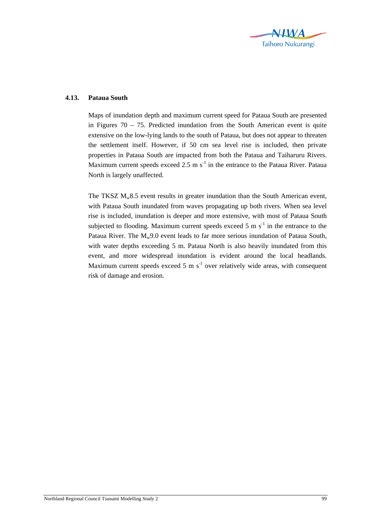

## **4.13. Pataua South**

Maps of inundation depth and maximum current speed for Pataua South are presented in Figures  $70 - 75$ . Predicted inundation from the South American event is quite extensive on the low-lying lands to the south of Pataua, but does not appear to threaten the settlement itself. However, if 50 cm sea level rise is included, then private properties in Pataua South are impacted from both the Pataua and Taiharuru Rivers. Maximum current speeds exceed 2.5 m  $s^{-1}$  in the entrance to the Pataua River. Pataua North is largely unaffected.

The TKSZ  $M_w8.5$  event results in greater inundation than the South American event, with Pataua South inundated from waves propagating up both rivers. When sea level rise is included, inundation is deeper and more extensive, with most of Pataua South subjected to flooding. Maximum current speeds exceed 5 m  $s^{-1}$  in the entrance to the Pataua River. The  $M_w$ 9.0 event leads to far more serious inundation of Pataua South, with water depths exceeding 5 m. Pataua North is also heavily inundated from this event, and more widespread inundation is evident around the local headlands. Maximum current speeds exceed 5 m  $s^{-1}$  over relatively wide areas, with consequent risk of damage and erosion.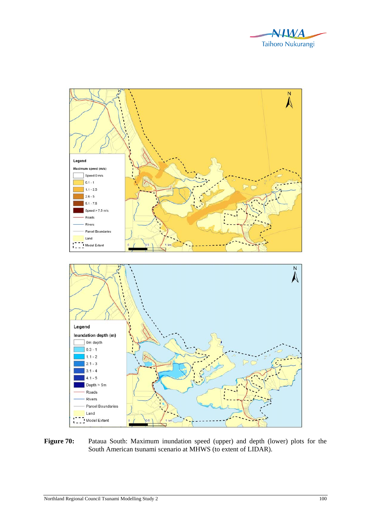



Figure 70: Pataua South: Maximum inundation speed (upper) and depth (lower) plots for the South American tsunami scenario at MHWS (to extent of LIDAR).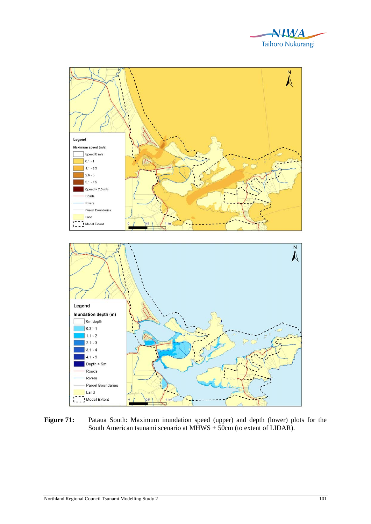



Figure 71: Pataua South: Maximum inundation speed (upper) and depth (lower) plots for the South American tsunami scenario at MHWS + 50cm (to extent of LIDAR).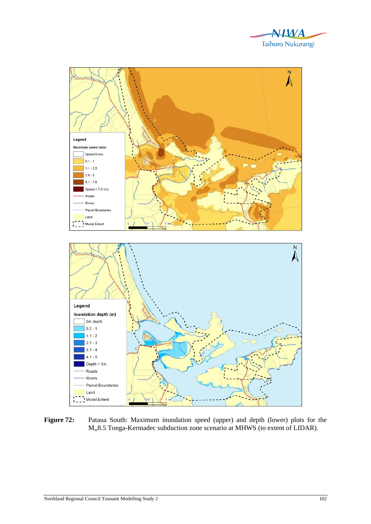



Figure 72: Pataua South: Maximum inundation speed (upper) and depth (lower) plots for the Mw8.5 Tonga-Kermadec subduction zone scenario at MHWS (to extent of LIDAR).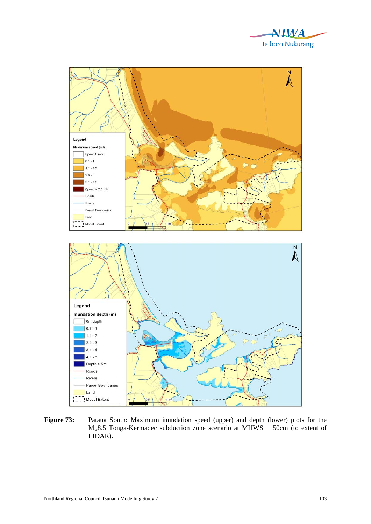



Figure 73: Pataua South: Maximum inundation speed (upper) and depth (lower) plots for the  $M_w8.5$  Tonga-Kermadec subduction zone scenario at MHWS + 50cm (to extent of LIDAR).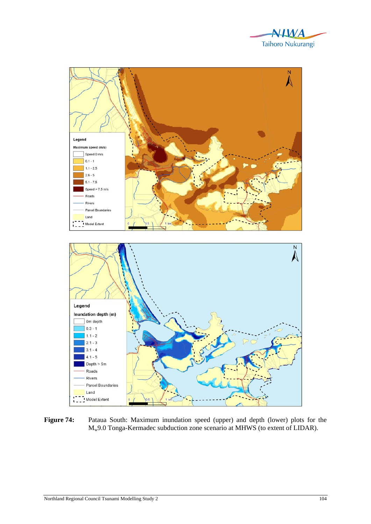



Figure 74: Pataua South: Maximum inundation speed (upper) and depth (lower) plots for the Mw9.0 Tonga-Kermadec subduction zone scenario at MHWS (to extent of LIDAR).